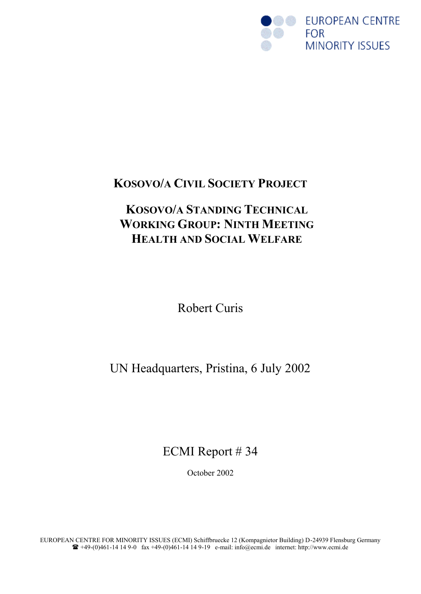

## **KOSOVO/A CIVIL SOCIETY PROJECT**

# **KOSOVO/A STANDING TECHNICAL WORKING GROUP: NINTH MEETING HEALTH AND SOCIAL WELFARE**

Robert Curis

UN Headquarters, Pristina, 6 July 2002

ECMI Report # 34

October 2002

EUROPEAN CENTRE FOR MINORITY ISSUES (ECMI) Schiffbruecke 12 (Kompagnietor Building) D-24939 Flensburg Germany  $\bullet$  +49-(0)461-14 14 9-0 fax +49-(0)461-14 14 9-19 e-mail: info@ecmi.de internet: http://www.ecmi.de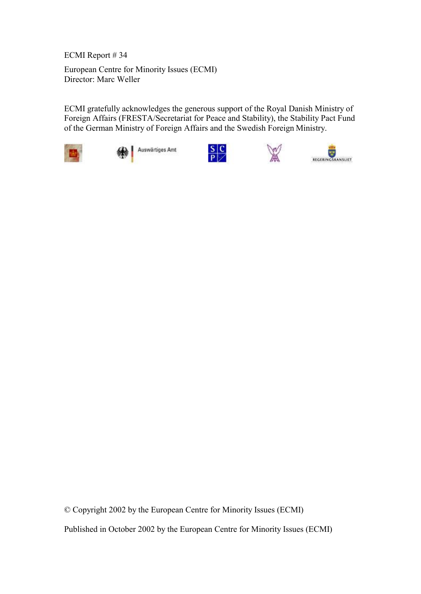ECMI Report # 34

European Centre for Minority Issues (ECMI) Director: Marc Weller

ECMI gratefully acknowledges the generous support of the Royal Danish Ministry of Foreign Affairs (FRESTA/Secretariat for Peace and Stability), the Stability Pact Fund of the German Ministry of Foreign Affairs and the Swedish Foreign Ministry.



Auswärtiges Amt







© Copyright 2002 by the European Centre for Minority Issues (ECMI) Published in October 2002 by the European Centre for Minority Issues (ECMI)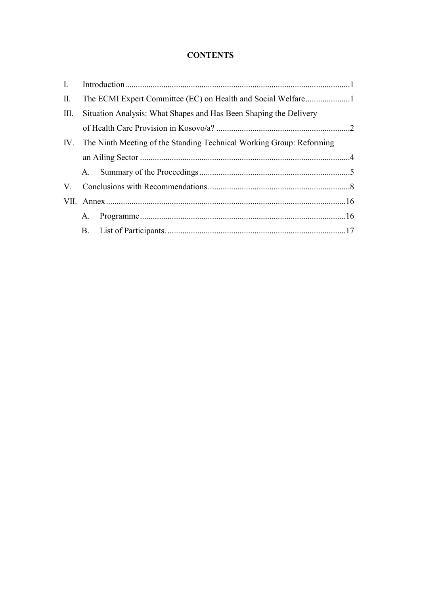### **CONTENTS**

| $\bf{I}$ .  |                                                                      |                                                                   |  |
|-------------|----------------------------------------------------------------------|-------------------------------------------------------------------|--|
| $\prod$ .   |                                                                      |                                                                   |  |
| Ш.          |                                                                      | Situation Analysis: What Shapes and Has Been Shaping the Delivery |  |
|             |                                                                      |                                                                   |  |
| IV.         | The Ninth Meeting of the Standing Technical Working Group: Reforming |                                                                   |  |
|             |                                                                      |                                                                   |  |
|             | A.                                                                   |                                                                   |  |
| $V_{\cdot}$ |                                                                      |                                                                   |  |
|             |                                                                      |                                                                   |  |
|             | $A_{-}$                                                              |                                                                   |  |
|             | B.                                                                   |                                                                   |  |
|             |                                                                      |                                                                   |  |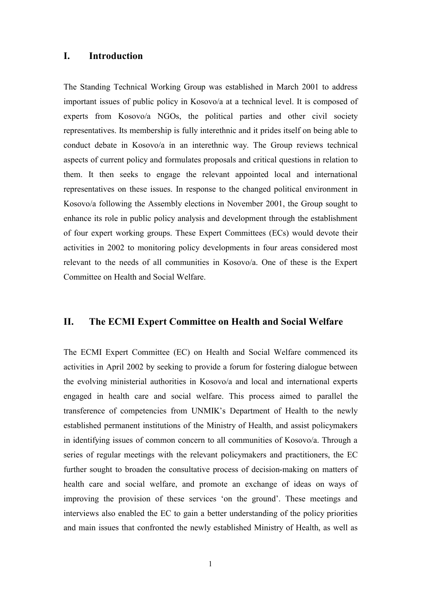#### **I. Introduction**

The Standing Technical Working Group was established in March 2001 to address important issues of public policy in Kosovo/a at a technical level. It is composed of experts from Kosovo/a NGOs, the political parties and other civil society representatives. Its membership is fully interethnic and it prides itself on being able to conduct debate in Kosovo/a in an interethnic way. The Group reviews technical aspects of current policy and formulates proposals and critical questions in relation to them. It then seeks to engage the relevant appointed local and international representatives on these issues. In response to the changed political environment in Kosovo/a following the Assembly elections in November 2001, the Group sought to enhance its role in public policy analysis and development through the establishment of four expert working groups. These Expert Committees (ECs) would devote their activities in 2002 to monitoring policy developments in four areas considered most relevant to the needs of all communities in Kosovo/a. One of these is the Expert Committee on Health and Social Welfare.

#### **II. The ECMI Expert Committee on Health and Social Welfare**

The ECMI Expert Committee (EC) on Health and Social Welfare commenced its activities in April 2002 by seeking to provide a forum for fostering dialogue between the evolving ministerial authorities in Kosovo/a and local and international experts engaged in health care and social welfare. This process aimed to parallel the transference of competencies from UNMIK's Department of Health to the newly established permanent institutions of the Ministry of Health, and assist policymakers in identifying issues of common concern to all communities of Kosovo/a. Through a series of regular meetings with the relevant policymakers and practitioners, the EC further sought to broaden the consultative process of decision-making on matters of health care and social welfare, and promote an exchange of ideas on ways of improving the provision of these services 'on the ground'. These meetings and interviews also enabled the EC to gain a better understanding of the policy priorities and main issues that confronted the newly established Ministry of Health, as well as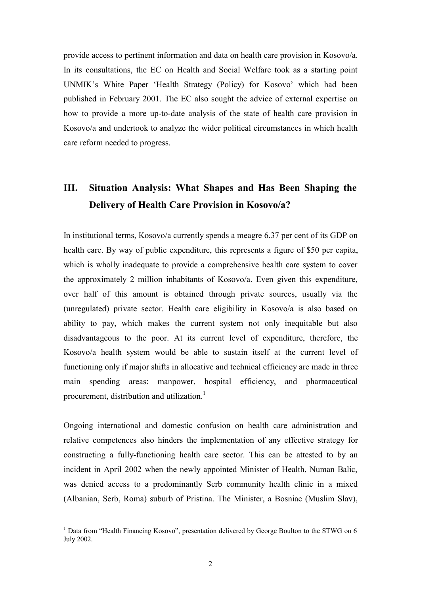provide access to pertinent information and data on health care provision in Kosovo/a. In its consultations, the EC on Health and Social Welfare took as a starting point UNMIK's White Paper 'Health Strategy (Policy) for Kosovo' which had been published in February 2001. The EC also sought the advice of external expertise on how to provide a more up-to-date analysis of the state of health care provision in Kosovo/a and undertook to analyze the wider political circumstances in which health care reform needed to progress.

## **III. Situation Analysis: What Shapes and Has Been Shaping the Delivery of Health Care Provision in Kosovo/a?**

In institutional terms, Kosovo/a currently spends a meagre 6.37 per cent of its GDP on health care. By way of public expenditure, this represents a figure of \$50 per capita, which is wholly inadequate to provide a comprehensive health care system to cover the approximately 2 million inhabitants of Kosovo/a. Even given this expenditure, over half of this amount is obtained through private sources, usually via the (unregulated) private sector. Health care eligibility in Kosovo/a is also based on ability to pay, which makes the current system not only inequitable but also disadvantageous to the poor. At its current level of expenditure, therefore, the Kosovo/a health system would be able to sustain itself at the current level of functioning only if major shifts in allocative and technical efficiency are made in three main spending areas: manpower, hospital efficiency, and pharmaceutical procurement, distribution and utilization.<sup>1</sup>

Ongoing international and domestic confusion on health care administration and relative competences also hinders the implementation of any effective strategy for constructing a fully-functioning health care sector. This can be attested to by an incident in April 2002 when the newly appointed Minister of Health, Numan Balic, was denied access to a predominantly Serb community health clinic in a mixed (Albanian, Serb, Roma) suburb of Pristina. The Minister, a Bosniac (Muslim Slav),

 $\overline{a}$ 

 $<sup>1</sup>$  Data from "Health Financing Kosovo", presentation delivered by George Boulton to the STWG on 6</sup> July 2002.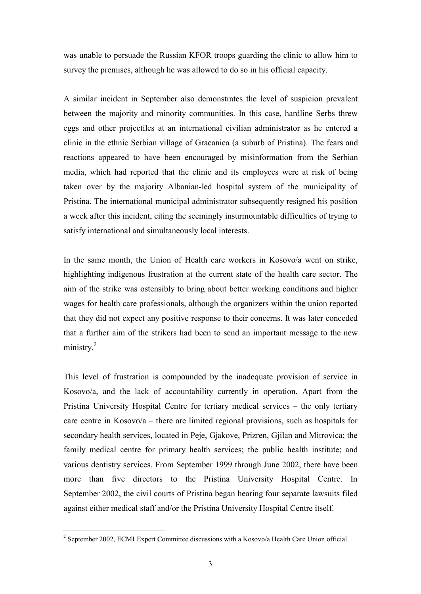was unable to persuade the Russian KFOR troops guarding the clinic to allow him to survey the premises, although he was allowed to do so in his official capacity.

A similar incident in September also demonstrates the level of suspicion prevalent between the majority and minority communities. In this case, hardline Serbs threw eggs and other projectiles at an international civilian administrator as he entered a clinic in the ethnic Serbian village of Gracanica (a suburb of Pristina). The fears and reactions appeared to have been encouraged by misinformation from the Serbian media, which had reported that the clinic and its employees were at risk of being taken over by the majority Albanian-led hospital system of the municipality of Pristina. The international municipal administrator subsequently resigned his position a week after this incident, citing the seemingly insurmountable difficulties of trying to satisfy international and simultaneously local interests.

In the same month, the Union of Health care workers in Kosovo/a went on strike, highlighting indigenous frustration at the current state of the health care sector. The aim of the strike was ostensibly to bring about better working conditions and higher wages for health care professionals, although the organizers within the union reported that they did not expect any positive response to their concerns. It was later conceded that a further aim of the strikers had been to send an important message to the new ministry.<sup>2</sup>

This level of frustration is compounded by the inadequate provision of service in Kosovo/a, and the lack of accountability currently in operation. Apart from the Pristina University Hospital Centre for tertiary medical services – the only tertiary care centre in Kosovo/a – there are limited regional provisions, such as hospitals for secondary health services, located in Peje, Gjakove, Prizren, Gjilan and Mitrovica; the family medical centre for primary health services; the public health institute; and various dentistry services. From September 1999 through June 2002, there have been more than five directors to the Pristina University Hospital Centre. In September 2002, the civil courts of Pristina began hearing four separate lawsuits filed against either medical staff and/or the Pristina University Hospital Centre itself.

<sup>&</sup>lt;sup>2</sup> September 2002, ECMI Expert Committee discussions with a Kosovo/a Health Care Union official.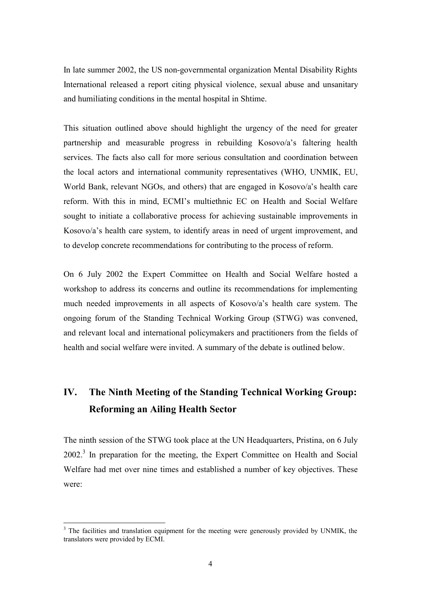In late summer 2002, the US non-governmental organization Mental Disability Rights International released a report citing physical violence, sexual abuse and unsanitary and humiliating conditions in the mental hospital in Shtime.

This situation outlined above should highlight the urgency of the need for greater partnership and measurable progress in rebuilding Kosovo/a's faltering health services. The facts also call for more serious consultation and coordination between the local actors and international community representatives (WHO, UNMIK, EU, World Bank, relevant NGOs, and others) that are engaged in Kosovo/a's health care reform. With this in mind, ECMI's multiethnic EC on Health and Social Welfare sought to initiate a collaborative process for achieving sustainable improvements in Kosovo/a's health care system, to identify areas in need of urgent improvement, and to develop concrete recommendations for contributing to the process of reform.

On 6 July 2002 the Expert Committee on Health and Social Welfare hosted a workshop to address its concerns and outline its recommendations for implementing much needed improvements in all aspects of Kosovo/a's health care system. The ongoing forum of the Standing Technical Working Group (STWG) was convened, and relevant local and international policymakers and practitioners from the fields of health and social welfare were invited. A summary of the debate is outlined below.

## **IV. The Ninth Meeting of the Standing Technical Working Group: Reforming an Ailing Health Sector**

The ninth session of the STWG took place at the UN Headquarters, Pristina, on 6 July 2002.<sup>3</sup> In preparation for the meeting, the Expert Committee on Health and Social Welfare had met over nine times and established a number of key objectives. These were:

 $\overline{a}$ 

<sup>&</sup>lt;sup>3</sup> The facilities and translation equipment for the meeting were generously provided by UNMIK, the translators were provided by ECMI.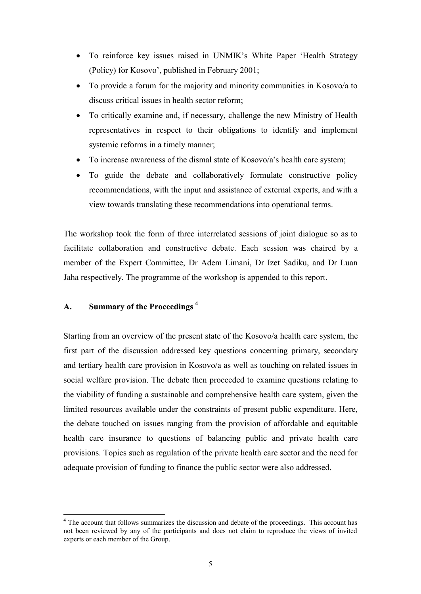- To reinforce key issues raised in UNMIK's White Paper 'Health Strategy (Policy) for Kosovo', published in February 2001;
- · To provide a forum for the majority and minority communities in Kosovo/a to discuss critical issues in health sector reform;
- · To critically examine and, if necessary, challenge the new Ministry of Health representatives in respect to their obligations to identify and implement systemic reforms in a timely manner;
- To increase awareness of the dismal state of Kosovo/a's health care system;
- · To guide the debate and collaboratively formulate constructive policy recommendations, with the input and assistance of external experts, and with a view towards translating these recommendations into operational terms.

The workshop took the form of three interrelated sessions of joint dialogue so as to facilitate collaboration and constructive debate. Each session was chaired by a member of the Expert Committee, Dr Adem Limani, Dr Izet Sadiku, and Dr Luan Jaha respectively. The programme of the workshop is appended to this report.

#### **A. Summary of the Proceedings** <sup>4</sup>

 $\overline{a}$ 

Starting from an overview of the present state of the Kosovo/a health care system, the first part of the discussion addressed key questions concerning primary, secondary and tertiary health care provision in Kosovo/a as well as touching on related issues in social welfare provision. The debate then proceeded to examine questions relating to the viability of funding a sustainable and comprehensive health care system, given the limited resources available under the constraints of present public expenditure. Here, the debate touched on issues ranging from the provision of affordable and equitable health care insurance to questions of balancing public and private health care provisions. Topics such as regulation of the private health care sector and the need for adequate provision of funding to finance the public sector were also addressed.

<sup>&</sup>lt;sup>4</sup> The account that follows summarizes the discussion and debate of the proceedings. This account has not been reviewed by any of the participants and does not claim to reproduce the views of invited experts or each member of the Group.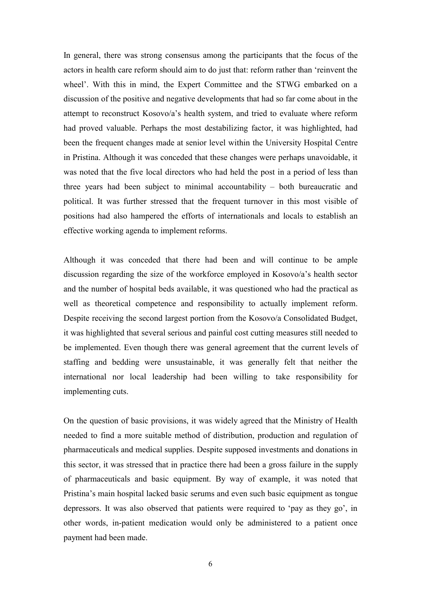In general, there was strong consensus among the participants that the focus of the actors in health care reform should aim to do just that: reform rather than 'reinvent the wheel'. With this in mind, the Expert Committee and the STWG embarked on a discussion of the positive and negative developments that had so far come about in the attempt to reconstruct Kosovo/a's health system, and tried to evaluate where reform had proved valuable. Perhaps the most destabilizing factor, it was highlighted, had been the frequent changes made at senior level within the University Hospital Centre in Pristina. Although it was conceded that these changes were perhaps unavoidable, it was noted that the five local directors who had held the post in a period of less than three years had been subject to minimal accountability – both bureaucratic and political. It was further stressed that the frequent turnover in this most visible of positions had also hampered the efforts of internationals and locals to establish an effective working agenda to implement reforms.

Although it was conceded that there had been and will continue to be ample discussion regarding the size of the workforce employed in Kosovo/a's health sector and the number of hospital beds available, it was questioned who had the practical as well as theoretical competence and responsibility to actually implement reform. Despite receiving the second largest portion from the Kosovo/a Consolidated Budget, it was highlighted that several serious and painful cost cutting measures still needed to be implemented. Even though there was general agreement that the current levels of staffing and bedding were unsustainable, it was generally felt that neither the international nor local leadership had been willing to take responsibility for implementing cuts.

On the question of basic provisions, it was widely agreed that the Ministry of Health needed to find a more suitable method of distribution, production and regulation of pharmaceuticals and medical supplies. Despite supposed investments and donations in this sector, it was stressed that in practice there had been a gross failure in the supply of pharmaceuticals and basic equipment. By way of example, it was noted that Pristina's main hospital lacked basic serums and even such basic equipment as tongue depressors. It was also observed that patients were required to 'pay as they go', in other words, in-patient medication would only be administered to a patient once payment had been made.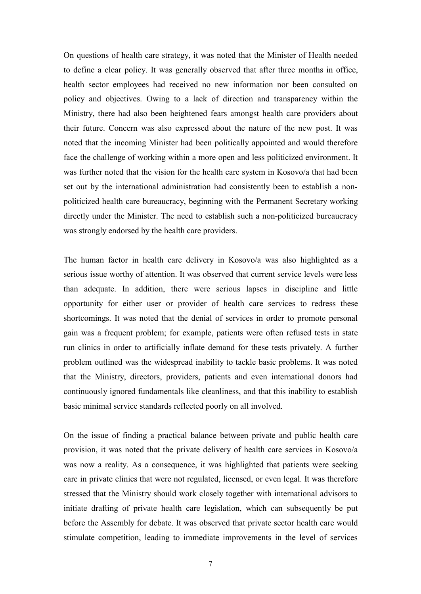On questions of health care strategy, it was noted that the Minister of Health needed to define a clear policy. It was generally observed that after three months in office, health sector employees had received no new information nor been consulted on policy and objectives. Owing to a lack of direction and transparency within the Ministry, there had also been heightened fears amongst health care providers about their future. Concern was also expressed about the nature of the new post. It was noted that the incoming Minister had been politically appointed and would therefore face the challenge of working within a more open and less politicized environment. It was further noted that the vision for the health care system in Kosovo/a that had been set out by the international administration had consistently been to establish a nonpoliticized health care bureaucracy, beginning with the Permanent Secretary working directly under the Minister. The need to establish such a non-politicized bureaucracy was strongly endorsed by the health care providers.

The human factor in health care delivery in Kosovo/a was also highlighted as a serious issue worthy of attention. It was observed that current service levels were less than adequate. In addition, there were serious lapses in discipline and little opportunity for either user or provider of health care services to redress these shortcomings. It was noted that the denial of services in order to promote personal gain was a frequent problem; for example, patients were often refused tests in state run clinics in order to artificially inflate demand for these tests privately. A further problem outlined was the widespread inability to tackle basic problems. It was noted that the Ministry, directors, providers, patients and even international donors had continuously ignored fundamentals like cleanliness, and that this inability to establish basic minimal service standards reflected poorly on all involved.

On the issue of finding a practical balance between private and public health care provision, it was noted that the private delivery of health care services in Kosovo/a was now a reality. As a consequence, it was highlighted that patients were seeking care in private clinics that were not regulated, licensed, or even legal. It was therefore stressed that the Ministry should work closely together with international advisors to initiate drafting of private health care legislation, which can subsequently be put before the Assembly for debate. It was observed that private sector health care would stimulate competition, leading to immediate improvements in the level of services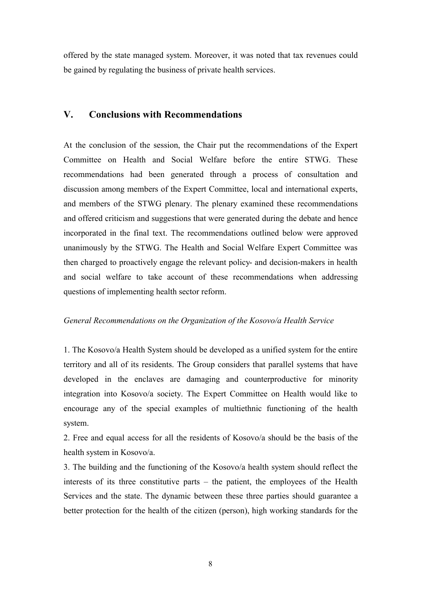offered by the state managed system. Moreover, it was noted that tax revenues could be gained by regulating the business of private health services.

### **V. Conclusions with Recommendations**

At the conclusion of the session, the Chair put the recommendations of the Expert Committee on Health and Social Welfare before the entire STWG. These recommendations had been generated through a process of consultation and discussion among members of the Expert Committee, local and international experts, and members of the STWG plenary. The plenary examined these recommendations and offered criticism and suggestions that were generated during the debate and hence incorporated in the final text. The recommendations outlined below were approved unanimously by the STWG. The Health and Social Welfare Expert Committee was then charged to proactively engage the relevant policy- and decision-makers in health and social welfare to take account of these recommendations when addressing questions of implementing health sector reform.

#### *General Recommendations on the Organization of the Kosovo/a Health Service*

1. The Kosovo/a Health System should be developed as a unified system for the entire territory and all of its residents. The Group considers that parallel systems that have developed in the enclaves are damaging and counterproductive for minority integration into Kosovo/a society. The Expert Committee on Health would like to encourage any of the special examples of multiethnic functioning of the health system.

2. Free and equal access for all the residents of Kosovo/a should be the basis of the health system in Kosovo/a.

3. The building and the functioning of the Kosovo/a health system should reflect the interests of its three constitutive parts – the patient, the employees of the Health Services and the state. The dynamic between these three parties should guarantee a better protection for the health of the citizen (person), high working standards for the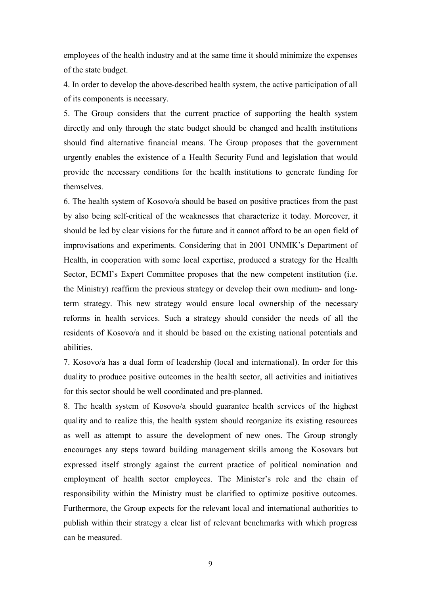employees of the health industry and at the same time it should minimize the expenses of the state budget.

4. In order to develop the above-described health system, the active participation of all of its components is necessary.

5. The Group considers that the current practice of supporting the health system directly and only through the state budget should be changed and health institutions should find alternative financial means. The Group proposes that the government urgently enables the existence of a Health Security Fund and legislation that would provide the necessary conditions for the health institutions to generate funding for themselves.

6. The health system of Kosovo/a should be based on positive practices from the past by also being self-critical of the weaknesses that characterize it today. Moreover, it should be led by clear visions for the future and it cannot afford to be an open field of improvisations and experiments. Considering that in 2001 UNMIK's Department of Health, in cooperation with some local expertise, produced a strategy for the Health Sector, ECMI's Expert Committee proposes that the new competent institution (i.e. the Ministry) reaffirm the previous strategy or develop their own medium- and longterm strategy. This new strategy would ensure local ownership of the necessary reforms in health services. Such a strategy should consider the needs of all the residents of Kosovo/a and it should be based on the existing national potentials and abilities.

7. Kosovo/a has a dual form of leadership (local and international). In order for this duality to produce positive outcomes in the health sector, all activities and initiatives for this sector should be well coordinated and pre-planned.

8. The health system of Kosovo/a should guarantee health services of the highest quality and to realize this, the health system should reorganize its existing resources as well as attempt to assure the development of new ones. The Group strongly encourages any steps toward building management skills among the Kosovars but expressed itself strongly against the current practice of political nomination and employment of health sector employees. The Minister's role and the chain of responsibility within the Ministry must be clarified to optimize positive outcomes. Furthermore, the Group expects for the relevant local and international authorities to publish within their strategy a clear list of relevant benchmarks with which progress can be measured.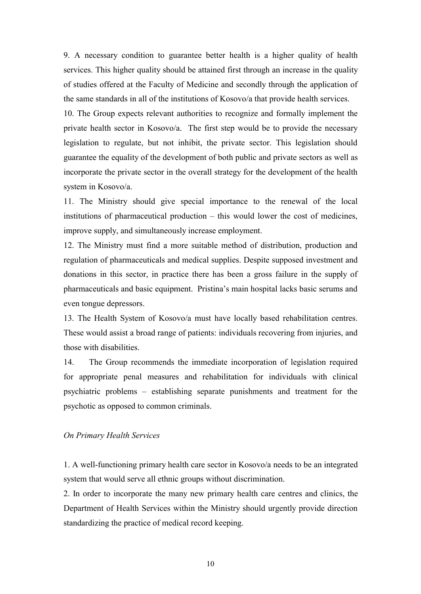9. A necessary condition to guarantee better health is a higher quality of health services. This higher quality should be attained first through an increase in the quality of studies offered at the Faculty of Medicine and secondly through the application of the same standards in all of the institutions of Kosovo/a that provide health services.

10. The Group expects relevant authorities to recognize and formally implement the private health sector in Kosovo/a. The first step would be to provide the necessary legislation to regulate, but not inhibit, the private sector. This legislation should guarantee the equality of the development of both public and private sectors as well as incorporate the private sector in the overall strategy for the development of the health system in Kosovo/a.

11. The Ministry should give special importance to the renewal of the local institutions of pharmaceutical production  $-$  this would lower the cost of medicines, improve supply, and simultaneously increase employment.

12. The Ministry must find a more suitable method of distribution, production and regulation of pharmaceuticals and medical supplies. Despite supposed investment and donations in this sector, in practice there has been a gross failure in the supply of pharmaceuticals and basic equipment. Pristina's main hospital lacks basic serums and even tongue depressors.

13. The Health System of Kosovo/a must have locally based rehabilitation centres. These would assist a broad range of patients: individuals recovering from injuries, and those with disabilities.

14. The Group recommends the immediate incorporation of legislation required for appropriate penal measures and rehabilitation for individuals with clinical psychiatric problems – establishing separate punishments and treatment for the psychotic as opposed to common criminals.

#### *On Primary Health Services*

1. A well-functioning primary health care sector in Kosovo/a needs to be an integrated system that would serve all ethnic groups without discrimination.

2. In order to incorporate the many new primary health care centres and clinics, the Department of Health Services within the Ministry should urgently provide direction standardizing the practice of medical record keeping.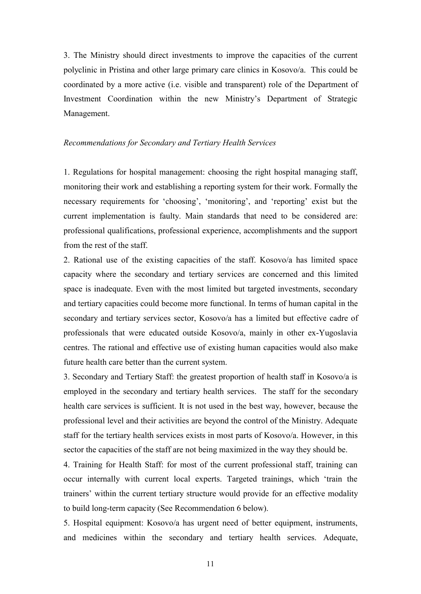3. The Ministry should direct investments to improve the capacities of the current polyclinic in Pristina and other large primary care clinics in Kosovo/a. This could be coordinated by a more active (i.e. visible and transparent) role of the Department of Investment Coordination within the new Ministry's Department of Strategic Management.

#### *Recommendations for Secondary and Tertiary Health Services*

1. Regulations for hospital management: choosing the right hospital managing staff, monitoring their work and establishing a reporting system for their work. Formally the necessary requirements for 'choosing', 'monitoring', and 'reporting' exist but the current implementation is faulty. Main standards that need to be considered are: professional qualifications, professional experience, accomplishments and the support from the rest of the staff.

2. Rational use of the existing capacities of the staff. Kosovo/a has limited space capacity where the secondary and tertiary services are concerned and this limited space is inadequate. Even with the most limited but targeted investments, secondary and tertiary capacities could become more functional. In terms of human capital in the secondary and tertiary services sector, Kosovo/a has a limited but effective cadre of professionals that were educated outside Kosovo/a, mainly in other ex-Yugoslavia centres. The rational and effective use of existing human capacities would also make future health care better than the current system.

3. Secondary and Tertiary Staff: the greatest proportion of health staff in Kosovo/a is employed in the secondary and tertiary health services. The staff for the secondary health care services is sufficient. It is not used in the best way, however, because the professional level and their activities are beyond the control of the Ministry. Adequate staff for the tertiary health services exists in most parts of Kosovo/a. However, in this sector the capacities of the staff are not being maximized in the way they should be.

4. Training for Health Staff: for most of the current professional staff, training can occur internally with current local experts. Targeted trainings, which 'train the trainers' within the current tertiary structure would provide for an effective modality to build long-term capacity (See Recommendation 6 below).

5. Hospital equipment: Kosovo/a has urgent need of better equipment, instruments, and medicines within the secondary and tertiary health services. Adequate,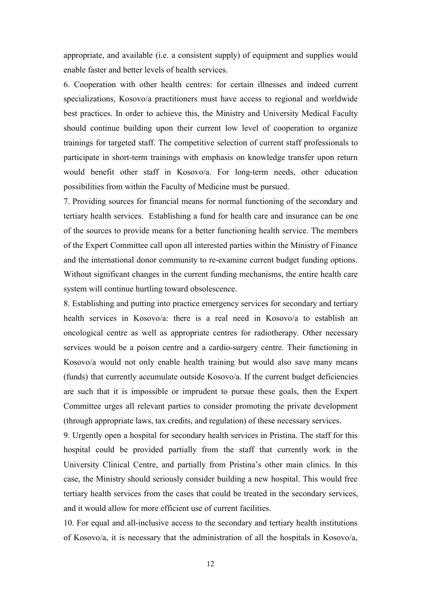appropriate, and available (i.e. a consistent supply) of equipment and supplies would enable faster and better levels of health services.

6. Cooperation with other health centres: for certain illnesses and indeed current specializations, Kosovo/a practitioners must have access to regional and worldwide best practices. In order to achieve this, the Ministry and University Medical Faculty should continue building upon their current low level of cooperation to organize trainings for targeted staff. The competitive selection of current staff professionals to participate in short-term trainings with emphasis on knowledge transfer upon return would benefit other staff in Kosovo/a. For long-term needs, other education possibilities from within the Faculty of Medicine must be pursued.

7. Providing sources for financial means for normal functioning of the secondary and tertiary health services. Establishing a fund for health care and insurance can be one of the sources to provide means for a better functioning health service. The members of the Expert Committee call upon all interested parties within the Ministry of Finance and the international donor community to re-examine current budget funding options. Without significant changes in the current funding mechanisms, the entire health care system will continue hurtling toward obsolescence.

8. Establishing and putting into practice emergency services for secondary and tertiary health services in Kosovo/a: there is a real need in Kosovo/a to establish an oncological centre as well as appropriate centres for radiotherapy. Other necessary services would be a poison centre and a cardio-surgery centre. Their functioning in Kosovo/a would not only enable health training but would also save many means (funds) that currently accumulate outside Kosovo/a. If the current budget deficiencies are such that it is impossible or imprudent to pursue these goals, then the Expert Committee urges all relevant parties to consider promoting the private development (through appropriate laws, tax credits, and regulation) of these necessary services.

9. Urgently open a hospital for secondary health services in Pristina. The staff for this hospital could be provided partially from the staff that currently work in the University Clinical Centre, and partially from Pristina's other main clinics. In this case, the Ministry should seriously consider building a new hospital. This would free tertiary health services from the cases that could be treated in the secondary services, and it would allow for more efficient use of current facilities.

10. For equal and all-inclusive access to the secondary and tertiary health institutions of Kosovo/a, it is necessary that the administration of all the hospitals in Kosovo/a,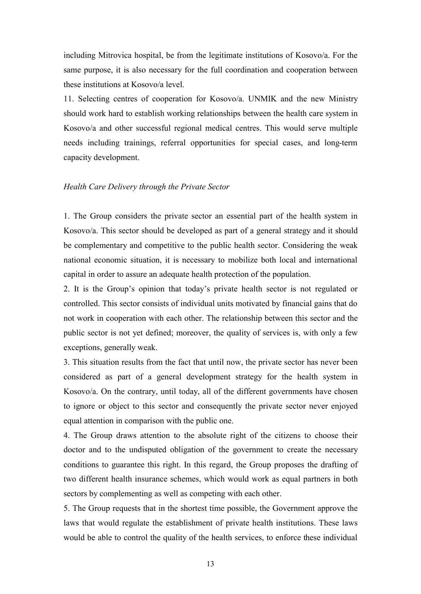including Mitrovica hospital, be from the legitimate institutions of Kosovo/a. For the same purpose, it is also necessary for the full coordination and cooperation between these institutions at Kosovo/a level.

11. Selecting centres of cooperation for Kosovo/a. UNMIK and the new Ministry should work hard to establish working relationships between the health care system in Kosovo/a and other successful regional medical centres. This would serve multiple needs including trainings, referral opportunities for special cases, and long-term capacity development.

#### *Health Care Delivery through the Private Sector*

1. The Group considers the private sector an essential part of the health system in Kosovo/a. This sector should be developed as part of a general strategy and it should be complementary and competitive to the public health sector. Considering the weak national economic situation, it is necessary to mobilize both local and international capital in order to assure an adequate health protection of the population.

2. It is the Group's opinion that today's private health sector is not regulated or controlled. This sector consists of individual units motivated by financial gains that do not work in cooperation with each other. The relationship between this sector and the public sector is not yet defined; moreover, the quality of services is, with only a few exceptions, generally weak.

3. This situation results from the fact that until now, the private sector has never been considered as part of a general development strategy for the health system in Kosovo/a. On the contrary, until today, all of the different governments have chosen to ignore or object to this sector and consequently the private sector never enjoyed equal attention in comparison with the public one.

4. The Group draws attention to the absolute right of the citizens to choose their doctor and to the undisputed obligation of the government to create the necessary conditions to guarantee this right. In this regard, the Group proposes the drafting of two different health insurance schemes, which would work as equal partners in both sectors by complementing as well as competing with each other.

5. The Group requests that in the shortest time possible, the Government approve the laws that would regulate the establishment of private health institutions. These laws would be able to control the quality of the health services, to enforce these individual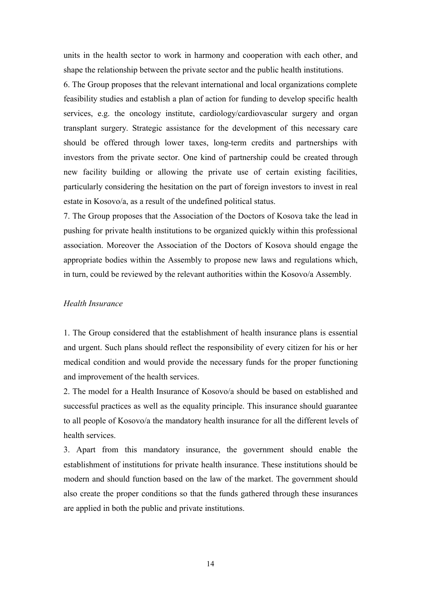units in the health sector to work in harmony and cooperation with each other, and shape the relationship between the private sector and the public health institutions.

6. The Group proposes that the relevant international and local organizations complete feasibility studies and establish a plan of action for funding to develop specific health services, e.g. the oncology institute, cardiology/cardiovascular surgery and organ transplant surgery. Strategic assistance for the development of this necessary care should be offered through lower taxes, long-term credits and partnerships with investors from the private sector. One kind of partnership could be created through new facility building or allowing the private use of certain existing facilities, particularly considering the hesitation on the part of foreign investors to invest in real estate in Kosovo/a, as a result of the undefined political status.

7. The Group proposes that the Association of the Doctors of Kosova take the lead in pushing for private health institutions to be organized quickly within this professional association. Moreover the Association of the Doctors of Kosova should engage the appropriate bodies within the Assembly to propose new laws and regulations which, in turn, could be reviewed by the relevant authorities within the Kosovo/a Assembly.

#### *Health Insurance*

1. The Group considered that the establishment of health insurance plans is essential and urgent. Such plans should reflect the responsibility of every citizen for his or her medical condition and would provide the necessary funds for the proper functioning and improvement of the health services.

2. The model for a Health Insurance of Kosovo/a should be based on established and successful practices as well as the equality principle. This insurance should guarantee to all people of Kosovo/a the mandatory health insurance for all the different levels of health services.

3. Apart from this mandatory insurance, the government should enable the establishment of institutions for private health insurance. These institutions should be modern and should function based on the law of the market. The government should also create the proper conditions so that the funds gathered through these insurances are applied in both the public and private institutions.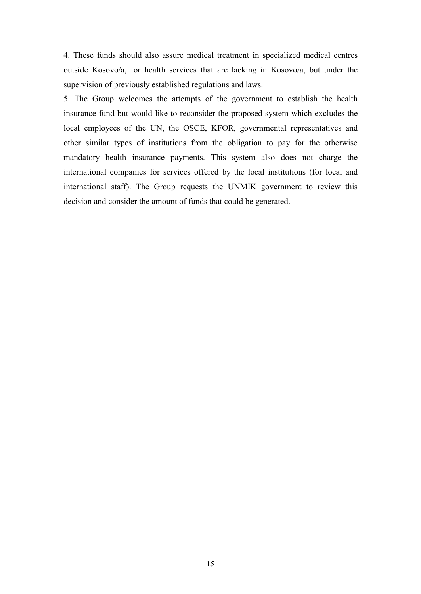4. These funds should also assure medical treatment in specialized medical centres outside Kosovo/a, for health services that are lacking in Kosovo/a, but under the supervision of previously established regulations and laws.

5. The Group welcomes the attempts of the government to establish the health insurance fund but would like to reconsider the proposed system which excludes the local employees of the UN, the OSCE, KFOR, governmental representatives and other similar types of institutions from the obligation to pay for the otherwise mandatory health insurance payments. This system also does not charge the international companies for services offered by the local institutions (for local and international staff). The Group requests the UNMIK government to review this decision and consider the amount of funds that could be generated.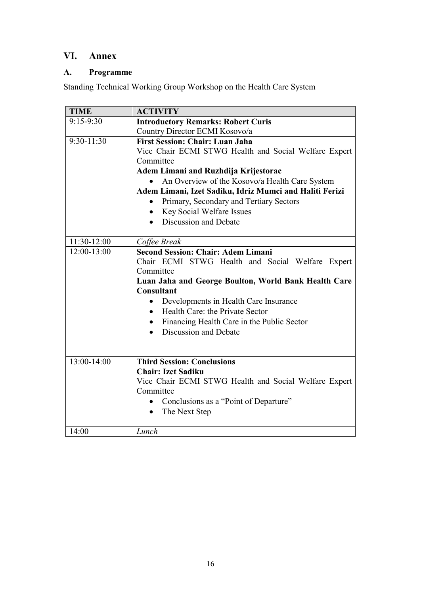## **VI. Annex**

### **A. Programme**

Standing Technical Working Group Workshop on the Health Care System

| <b>TIME</b>  | <b>ACTIVITY</b>                                                    |
|--------------|--------------------------------------------------------------------|
| $9:15-9:30$  | <b>Introductory Remarks: Robert Curis</b>                          |
|              | Country Director ECMI Kosovo/a                                     |
| $9:30-11:30$ | <b>First Session: Chair: Luan Jaha</b>                             |
|              | Vice Chair ECMI STWG Health and Social Welfare Expert              |
|              | Committee                                                          |
|              | Adem Limani and Ruzhdija Krijestorac                               |
|              | An Overview of the Kosovo/a Health Care System                     |
|              | Adem Limani, Izet Sadiku, Idriz Mumci and Haliti Ferizi            |
|              | Primary, Secondary and Tertiary Sectors<br>$\bullet$               |
|              | Key Social Welfare Issues<br>$\bullet$                             |
|              | Discussion and Debate                                              |
|              |                                                                    |
| 11:30-12:00  | Coffee Break                                                       |
| 12:00-13:00  | <b>Second Session: Chair: Adem Limani</b>                          |
|              | Chair ECMI STWG Health and Social Welfare Expert                   |
|              | Committee                                                          |
|              | Luan Jaha and George Boulton, World Bank Health Care               |
|              | <b>Consultant</b>                                                  |
|              | Developments in Health Care Insurance<br>$\bullet$                 |
|              | Health Care: the Private Sector<br>$\bullet$                       |
|              | Financing Health Care in the Public Sector<br>$\bullet$            |
|              | Discussion and Debate                                              |
|              |                                                                    |
|              |                                                                    |
| 13:00-14:00  | <b>Third Session: Conclusions</b>                                  |
|              | <b>Chair: Izet Sadiku</b>                                          |
|              | Vice Chair ECMI STWG Health and Social Welfare Expert<br>Committee |
|              |                                                                    |
|              | Conclusions as a "Point of Departure"                              |
|              | The Next Step<br>$\bullet$                                         |
| 14:00        | Lunch                                                              |
|              |                                                                    |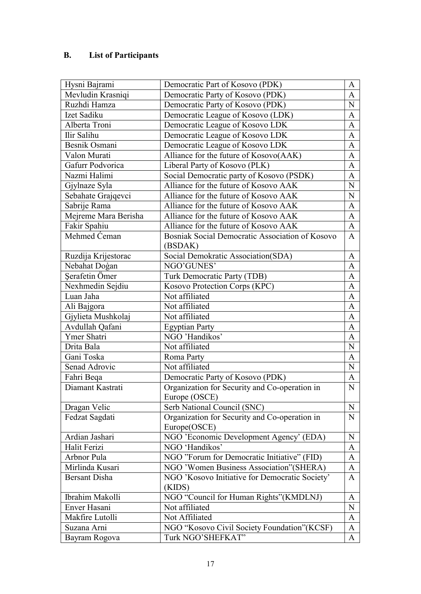### **B. List of Participants**

| Hysni Bajrami        | Democratic Part of Kosovo (PDK)                          | A            |
|----------------------|----------------------------------------------------------|--------------|
| Mevludin Krasniqi    | Democratic Party of Kosovo (PDK)                         | A            |
| Ruzhdi Hamza         | Democratic Party of Kosovo (PDK)                         | $\mathbf N$  |
| Izet Sadiku          | Democratic League of Kosovo (LDK)                        | $\mathbf{A}$ |
| Alberta Troni        | Democratic League of Kosovo LDK                          | A            |
| Ilir Salihu          | Democratic League of Kosovo LDK                          | A            |
| Besnik Osmani        | Democratic League of Kosovo LDK                          | $\mathbf{A}$ |
| Valon Murati         | Alliance for the future of Kosovo(AAK)                   | $\mathbf{A}$ |
| Gafurr Podvorica     | Liberal Party of Kosovo (PLK)                            | A            |
| Nazmi Halimi         | Social Democratic party of Kosovo (PSDK)                 | $\mathbf{A}$ |
| Gjylnaze Syla        | Alliance for the future of Kosovo AAK                    | N            |
| Sebahate Grajqevci   | Alliance for the future of Kosovo AAK                    | ${\bf N}$    |
| Sabrije Rama         | Alliance for the future of Kosovo AAK                    | $\mathbf{A}$ |
| Mejreme Mara Berisha | Alliance for the future of Kosovo AAK                    | $\mathbf{A}$ |
| Fakir Spahiu         | Alliance for the future of Kosovo AAK                    | $\mathbf{A}$ |
| Mehmed Ceman         | Bosniak Social Democratic Association of Kosovo          | $\mathbf{A}$ |
|                      | (BSDAK)                                                  |              |
| Ruzdija Krijestorac  | Social Demokratic Association(SDA)                       | A            |
| Nebahat Doģan        | NGO'GUNES'                                               | $\mathbf{A}$ |
| Serafetin Ömer       | <b>Turk Democratic Party (TDB)</b>                       | $\mathbf{A}$ |
| Nexhmedin Sejdiu     | Kosovo Protection Corps (KPC)                            | A            |
| Luan Jaha            | Not affiliated                                           | A            |
| Ali Bajgora          | Not affiliated                                           | $\mathbf{A}$ |
| Gjylieta Mushkolaj   | Not affiliated                                           | $\mathbf{A}$ |
|                      |                                                          |              |
| Avdullah Qafani      | <b>Egyptian Party</b>                                    | $\mathbf{A}$ |
| Ymer Shatri          | NGO 'Handikos'                                           | A            |
| Drita Bala           | Not affiliated                                           | $\mathbf N$  |
| Gani Toska           | Roma Party                                               | $\mathbf{A}$ |
| Senad Adrovic        | Not affiliated                                           | ${\bf N}$    |
| Fahri Beqa           | Democratic Party of Kosovo (PDK)                         | A            |
| Diamant Kastrati     | Organization for Security and Co-operation in            | ${\bf N}$    |
|                      | Europe (OSCE)                                            |              |
| Dragan Velic         | Serb National Council (SNC)                              | N            |
| Fedzat Sagdati       | Organization for Security and Co-operation in            | $\mathbf N$  |
|                      | Europe(OSCE)                                             |              |
| Ardian Jashari       | NGO 'Economic Development Agency' (EDA)                  | $\mathbf N$  |
| Halit Ferizi         | NGO 'Handikos'                                           | A            |
| Arbnor Pula          | NGO "Forum for Democratic Initiative" (FID)              | A            |
| Mirlinda Kusari      | NGO 'Women Business Association" (SHERA)                 | $\mathbf{A}$ |
| <b>Bersant Disha</b> | NGO 'Kosovo Initiative for Democratic Society'<br>(KIDS) | $\mathbf{A}$ |
| Ibrahim Makolli      | NGO "Council for Human Rights" (KMDLNJ)                  | A            |
| Enver Hasani         | Not affiliated                                           | N            |
| Makfire Lutolli      | Not Affiliated                                           | A            |
| Suzana Arni          | NGO "Kosovo Civil Society Foundation"(KCSF)              |              |
| Bayram Rogova        | Turk NGO'SHEFKAT"                                        | A<br>A       |
|                      |                                                          |              |